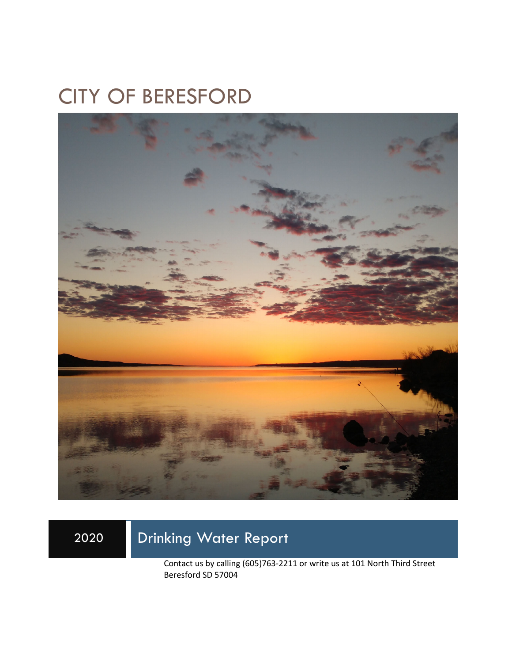# CITY OF BERESFORD



## 2020 Drinking Water Report

Contact us by calling (605)763-2211 or write us at 101 North Third Street Beresford SD 57004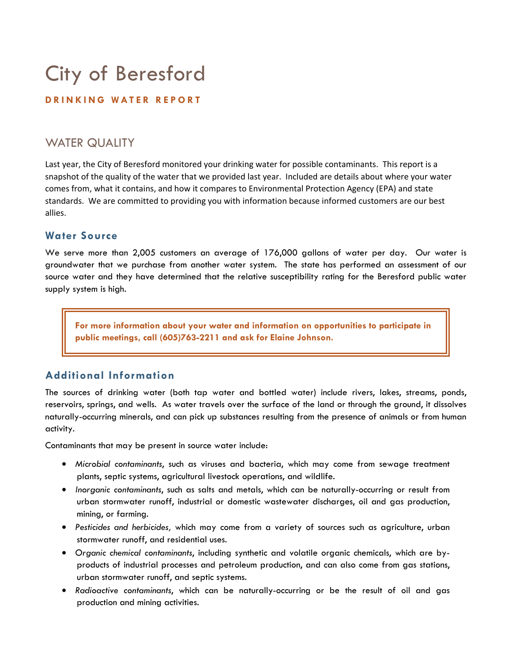# City of Beresford

#### **DRINKING WATER REPORT**

### WATER QUALITY

Last year, the City of Beresford monitored your drinking water for possible contaminants. This report is a snapshot of the quality of the water that we provided last year. Included are details about where your water comes from, what it contains, and how it compares to Environmental Protection Agency (EPA) and state standards. We are committed to providing you with information because informed customers are our best allies.

#### **Water Source**

We serve more than 2,005 customers an average of 176,000 gallons of water per day. Our water is groundwater that we purchase from another water system. The state has performed an assessment of our source water and they have determined that the relative susceptibility rating for the Beresford public water supply system is high.

**For more information about your water and information on opportunities to participate in public meetings, call (605)763-2211 and ask for Elaine Johnson.** 

#### **Additional Information**

The sources of drinking water (both tap water and bottled water) include rivers, lakes, streams, ponds, reservoirs, springs, and wells. As water travels over the surface of the land or through the ground, it dissolves naturally-occurring minerals, and can pick up substances resulting from the presence of animals or from human activity.

Contaminants that may be present in source water include:

- *Microbial contaminants*, such as viruses and bacteria, which may come from sewage treatment plants, septic systems, agricultural livestock operations, and wildlife.
- *Inorganic contaminants*, such as salts and metals, which can be naturally-occurring or result from urban stormwater runoff, industrial or domestic wastewater discharges, oil and gas production, mining, or farming.
- *Pesticides and herbicides,* which may come from a variety of sources such as agriculture, urban stormwater runoff, and residential uses.
- *Organic chemical contaminants*, including synthetic and volatile organic chemicals, which are byproducts of industrial processes and petroleum production, and can also come from gas stations, urban stormwater runoff, and septic systems.
- *Radioactive contaminants*, which can be naturally-occurring or be the result of oil and gas production and mining activities.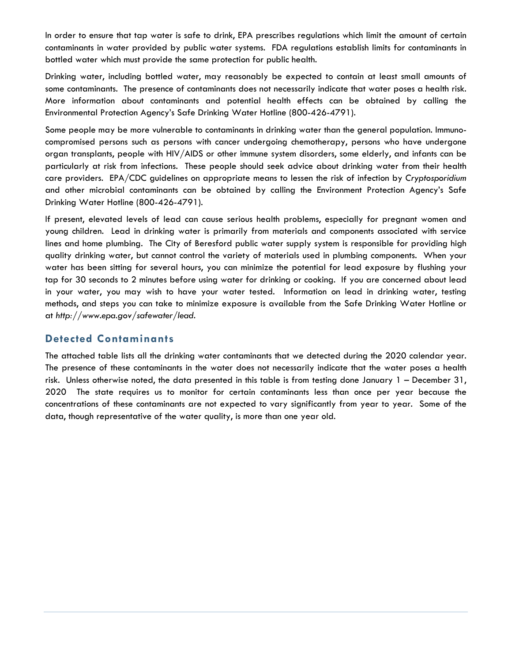In order to ensure that tap water is safe to drink, EPA prescribes regulations which limit the amount of certain contaminants in water provided by public water systems. FDA regulations establish limits for contaminants in bottled water which must provide the same protection for public health.

Drinking water, including bottled water, may reasonably be expected to contain at least small amounts of some contaminants. The presence of contaminants does not necessarily indicate that water poses a health risk. More information about contaminants and potential health effects can be obtained by calling the Environmental Protection Agency's Safe Drinking Water Hotline (800-426-4791).

Some people may be more vulnerable to contaminants in drinking water than the general population. Immunocompromised persons such as persons with cancer undergoing chemotherapy, persons who have undergone organ transplants, people with HIV/AIDS or other immune system disorders, some elderly, and infants can be particularly at risk from infections. These people should seek advice about drinking water from their health care providers. EPA/CDC guidelines on appropriate means to lessen the risk of infection by *Cryptosporidium* and other microbial contaminants can be obtained by calling the Environment Protection Agency's Safe Drinking Water Hotline (800-426-4791).

If present, elevated levels of lead can cause serious health problems, especially for pregnant women and young children. Lead in drinking water is primarily from materials and components associated with service lines and home plumbing. The City of Beresford public water supply system is responsible for providing high quality drinking water, but cannot control the variety of materials used in plumbing components. When your water has been sitting for several hours, you can minimize the potential for lead exposure by flushing your tap for 30 seconds to 2 minutes before using water for drinking or cooking. If you are concerned about lead in your water, you may wish to have your water tested. Information on lead in drinking water, testing methods, and steps you can take to minimize exposure is available from the Safe Drinking Water Hotline or at *http://www.epa.gov/safewater/lead*.

#### **Detected Contaminants**

The attached table lists all the drinking water contaminants that we detected during the 2020 calendar year. The presence of these contaminants in the water does not necessarily indicate that the water poses a health risk. Unless otherwise noted, the data presented in this table is from testing done January 1 – December 31, 2020 The state requires us to monitor for certain contaminants less than once per year because the concentrations of these contaminants are not expected to vary significantly from year to year. Some of the data, though representative of the water quality, is more than one year old.